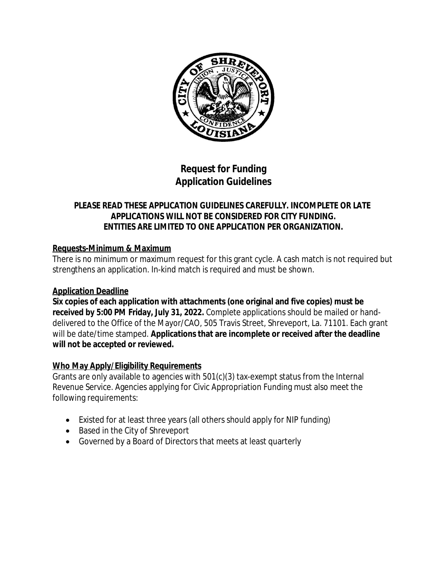

# **Request for Funding Application Guidelines**

## **PLEASE READ THESE APPLICATION GUIDELINES CAREFULLY. INCOMPLETE OR LATE APPLICATIONS WILL NOT BE CONSIDERED FOR CITY FUNDING. ENTITIES ARE LIMITED TO ONE APPLICATION PER ORGANIZATION.**

## **Requests-Minimum & Maximum**

There is no minimum or maximum request for this grant cycle. A cash match is not required but strengthens an application. In-kind match is required and must be shown.

## **Application Deadline**

**Six copies of each application with attachments (one original and five copies) must be received by 5:00 PM Friday, July 31, 2022.** Complete applications should be mailed or handdelivered to the Office of the Mayor/CAO, 505 Travis Street, Shreveport, La. 71101. Each grant will be date/time stamped. **Applications that are incomplete or received after the deadline will not be accepted or reviewed.**

# **Who May Apply/Eligibility Requirements**

Grants are only available to agencies with 501(c)(3) tax-exempt status from the Internal Revenue Service. Agencies applying for Civic Appropriation Funding must also meet the following requirements:

- Existed for at least three years (all others should apply for NIP funding)
- Based in the City of Shreveport
- Governed by a Board of Directors that meets at least quarterly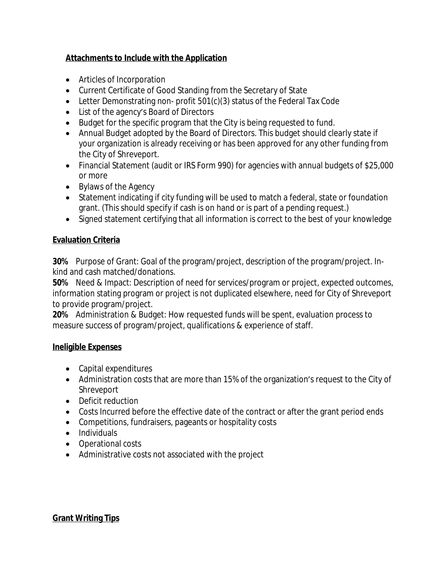## **Attachments to Include with the Application**

- Articles of Incorporation
- Current Certificate of Good Standing from the Secretary of State
- Letter Demonstrating non- profit 501(c)(3) status of the Federal Tax Code
- List of the agency's Board of Directors
- Budget for the specific program that the City is being requested to fund.
- Annual Budget adopted by the Board of Directors. This budget should clearly state if your organization is already receiving or has been approved for any other funding from the City of Shreveport.
- Financial Statement (audit or IRS Form 990) for agencies with annual budgets of \$25,000 or more
- Bylaws of the Agency
- Statement indicating if city funding will be used to match a federal, state or foundation grant. (This should specify if cash is on hand or is part of a pending request.)
- Signed statement certifying that all information is correct to the best of your knowledge

## **Evaluation Criteria**

**30%** Purpose of Grant: Goal of the program/project, description of the program/project. Inkind and cash matched/donations.

**50%** Need & Impact: Description of need for services/program or project, expected outcomes, information stating program or project is not duplicated elsewhere, need for City of Shreveport to provide program/project.

**20%** Administration & Budget: How requested funds will be spent, evaluation process to measure success of program/project, qualifications & experience of staff.

## **Ineligible Expenses**

- Capital expenditures
- Administration costs that are more than 15% of the organization's request to the City of Shreveport
- Deficit reduction
- Costs Incurred before the effective date of the contract or after the grant period ends
- Competitions, fundraisers, pageants or hospitality costs
- Individuals
- Operational costs
- Administrative costs not associated with the project

## **Grant Writing Tips**